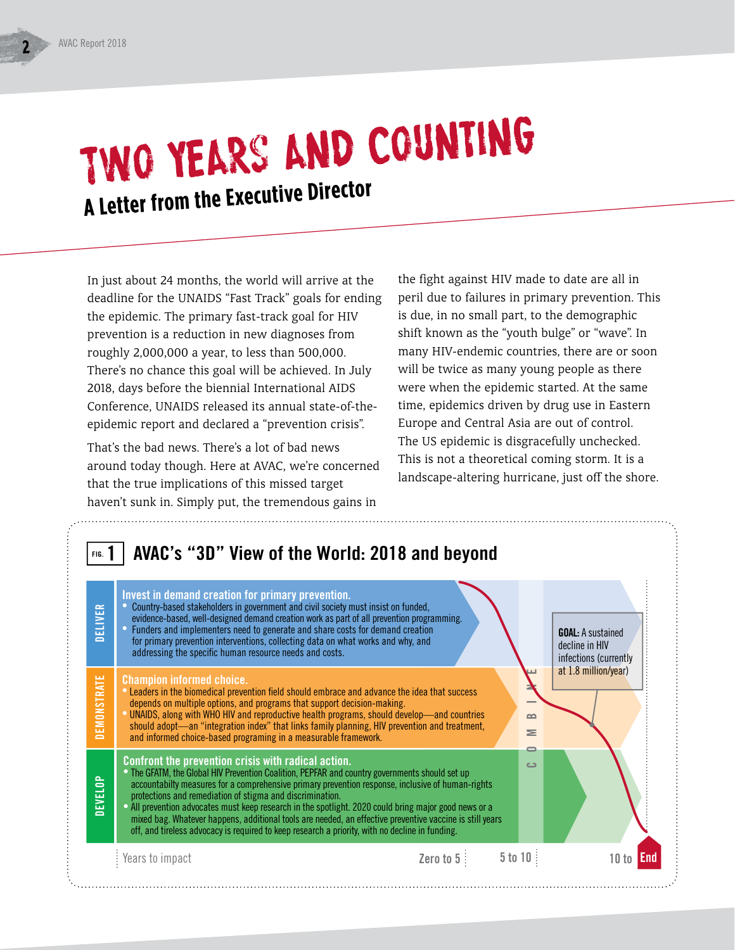# Two Years and Counting **A Letter from the Executive Director**

In just about 24 months, the world will arrive at the deadline for the UNAIDS "Fast Track" goals for ending the epidemic. The primary fast-track goal for HIV prevention is a reduction in new diagnoses from roughly 2,000,000 a year, to less than 500,000. There's no chance this goal will be achieved. In July 2018, days before the biennial International AIDS Conference, UNAIDS released its annual state-of-theepidemic report and declared a "prevention crisis".

That's the bad news. There's a lot of bad news around today though. Here at AVAC, we're concerned that the true implications of this missed target haven't sunk in. Simply put, the tremendous gains in

the fight against HIV made to date are all in peril due to failures in primary prevention. This is due, in no small part, to the demographic shift known as the "youth bulge" or "wave". In many HIV-endemic countries, there are or soon will be twice as many young people as there were when the epidemic started. At the same time, epidemics driven by drug use in Eastern Europe and Central Asia are out of control. The US epidemic is disgracefully unchecked. This is not a theoretical coming storm. It is a landscape-altering hurricane, just off the shore.

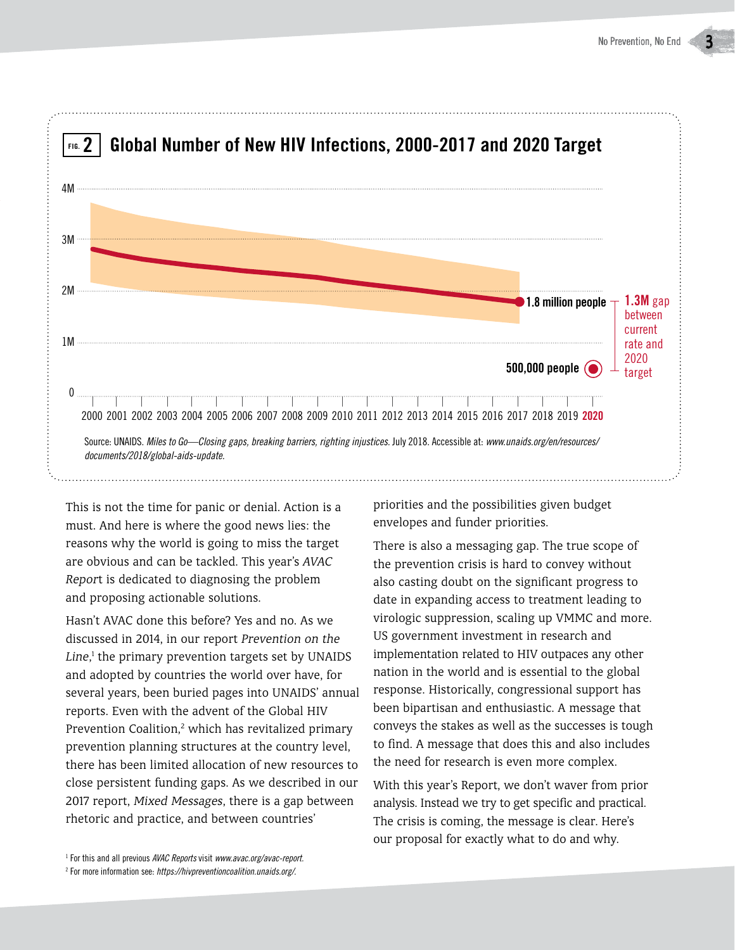

This is not the time for panic or denial. Action is a must. And here is where the good news lies: the reasons why the world is going to miss the target are obvious and can be tackled. This year's *AVAC Repor*t is dedicated to diagnosing the problem and proposing actionable solutions.

Hasn't AVAC done this before? Yes and no. As we discussed in 2014, in our report *Prevention on the*  Line,<sup>1</sup> the primary prevention targets set by UNAIDS and adopted by countries the world over have, for several years, been buried pages into UNAIDS' annual reports. Even with the advent of the Global HIV Prevention Coalition,<sup>2</sup> which has revitalized primary prevention planning structures at the country level, there has been limited allocation of new resources to close persistent funding gaps. As we described in our 2017 report, *Mixed Messages*, there is a gap between rhetoric and practice, and between countries'

priorities and the possibilities given budget envelopes and funder priorities.

There is also a messaging gap. The true scope of the prevention crisis is hard to convey without also casting doubt on the significant progress to date in expanding access to treatment leading to virologic suppression, scaling up VMMC and more. US government investment in research and implementation related to HIV outpaces any other nation in the world and is essential to the global response. Historically, congressional support has been bipartisan and enthusiastic. A message that conveys the stakes as well as the successes is tough to find. A message that does this and also includes the need for research is even more complex.

With this year's Report, we don't waver from prior analysis. Instead we try to get specific and practical. The crisis is coming, the message is clear. Here's our proposal for exactly what to do and why.

<sup>1</sup> For this and all previous *AVAC Reports* visit *www.avac.org/avac-report.*

<sup>2</sup> For more information see: *https://hivpreventioncoalition.unaids.org/.*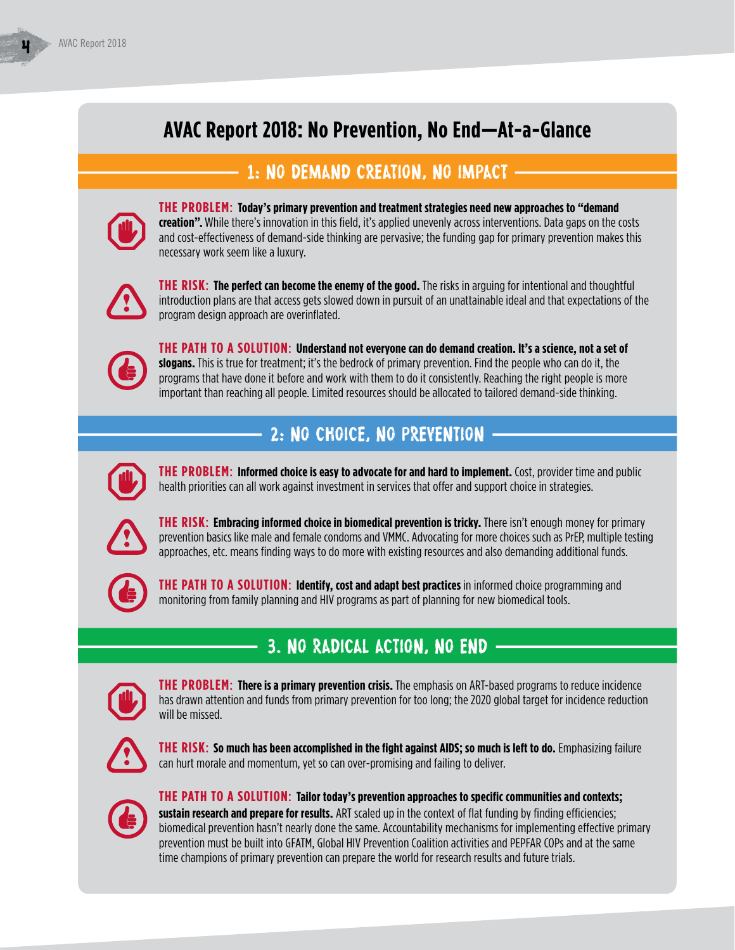# **AVAC Report 2018: No Prevention, No End—At-a-Glance**

#### 1: no demand creation, no impact



**THE PROBLEM**: **Today's primary prevention and treatment strategies need new approaches to "demand creation".** While there's innovation in this field, it's applied unevenly across interventions. Data gaps on the costs and cost-effectiveness of demand-side thinking are pervasive; the funding gap for primary prevention makes this necessary work seem like a luxury.



**THE RISK**: **The perfect can become the enemy of the good.** The risks in arguing for intentional and thoughtful introduction plans are that access gets slowed down in pursuit of an unattainable ideal and that expectations of the program design approach are overinflated.



**THE PATH TO A SOLUTION**: **Understand not everyone can do demand creation. It's a science, not a set of slogans.** This is true for treatment; it's the bedrock of primary prevention. Find the people who can do it, the programs that have done it before and work with them to do it consistently. Reaching the right people is more important than reaching all people. Limited resources should be allocated to tailored demand-side thinking.

## 2: no choice, no prevention



**THE PROBLEM: Informed choice is easy to advocate for and hard to implement.** Cost, provider time and public health priorities can all work against investment in services that offer and support choice in strategies.



**THE RISK**: **Embracing informed choice in biomedical prevention is tricky.** There isn't enough money for primary prevention basics like male and female condoms and VMMC. Advocating for more choices such as PrEP, multiple testing approaches, etc. means finding ways to do more with existing resources and also demanding additional funds.



**THE PATH TO A SOLUTION**: **Identify, cost and adapt best practices** in informed choice programming and monitoring from family planning and HIV programs as part of planning for new biomedical tools.

## 3. no radical action, no end



**THE PROBLEM**: **There is a primary prevention crisis.** The emphasis on ART-based programs to reduce incidence has drawn attention and funds from primary prevention for too long; the 2020 global target for incidence reduction will be missed.



**THE RISK**: **So much has been accomplished in the fight against AIDS; so much is left to do.** Emphasizing failure can hurt morale and momentum, yet so can over-promising and failing to deliver.



**THE PATH TO A SOLUTION**: **Tailor today's prevention approaches to specific communities and contexts; sustain research and prepare for results.** ART scaled up in the context of flat funding by finding efficiencies; biomedical prevention hasn't nearly done the same. Accountability mechanisms for implementing effective primary prevention must be built into GFATM, Global HIV Prevention Coalition activities and PEPFAR COPs and at the same time champions of primary prevention can prepare the world for research results and future trials.